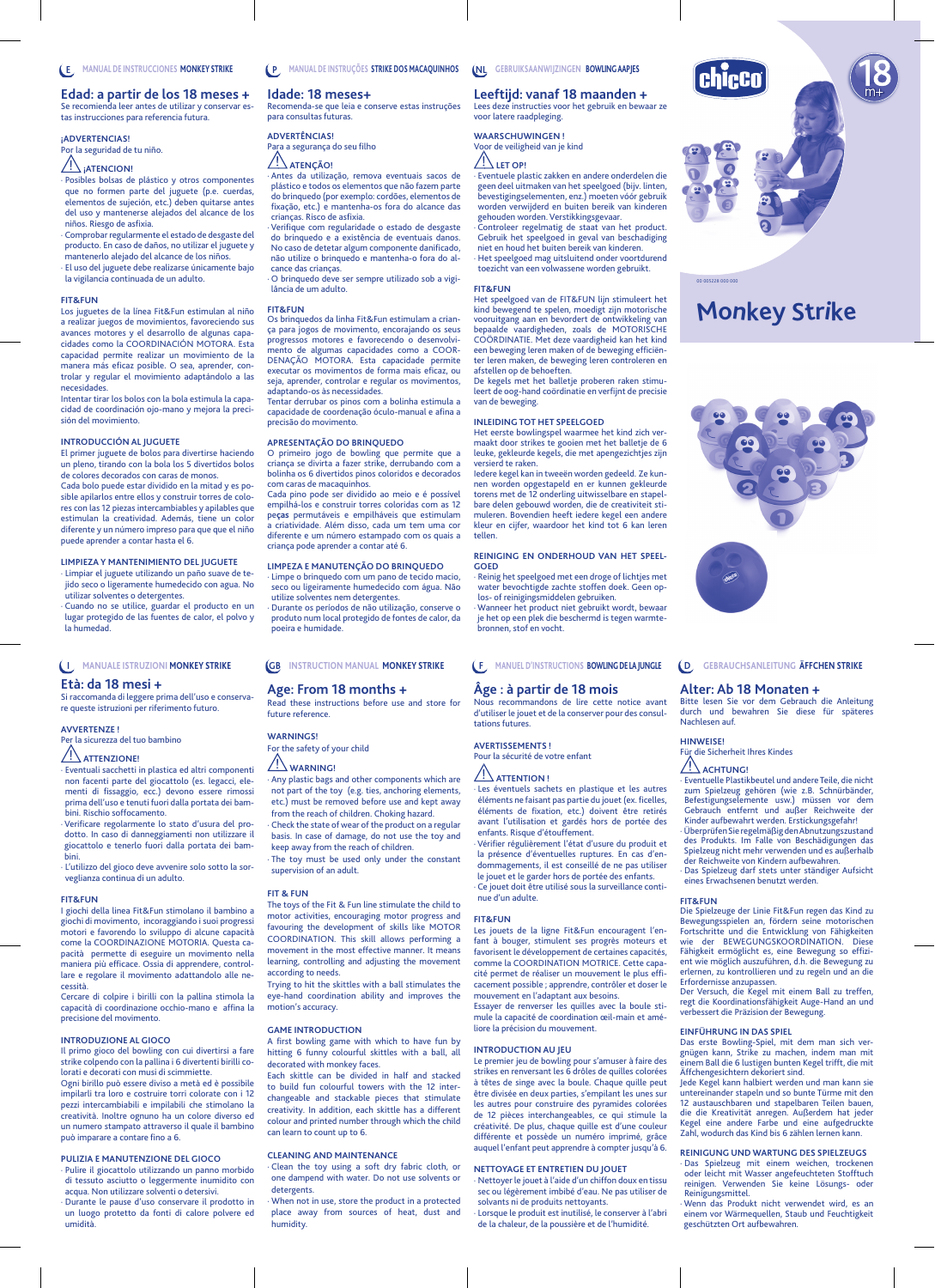**Edad: a partir de los 18 meses +** Se recomienda leer antes de utilizar y conservar estas instrucciones para referencia futura.

#### **¡ADVERTENCIAS!**

## Por la seguridad de tu niño.

## **ATENCION!**

Posibles bolsas de plástico y otros componentes que no formen parte del juguete (p.e. cuerdas, elementos de sujeción, etc.) deben quitarse antes del uso y mantenerse alejados del alcance de los niños. Riesgo de asfixia.

Comprobar regularmente el estado de desgaste del producto. En caso de daños, no utilizar el juguete y mantenerlo alejado del alcance de los niños. · El uso del juguete debe realizarse únicamente bajo

la vigilancia continuada de un adulto.

#### **FIT&FUN**

Los juguetes de la línea Fit&Fun estimulan al niño a realizar juegos de movimientos, favoreciendo sus avances motores y el desarrollo de algunas capa-cidades como la COORDINACIÓN MOTORA. Esta capacidad permite realizar un movimiento de la manera más eficaz posible. O sea, aprender, controlar y regular el movimiento adaptándolo a las necesidades.

Intentar tirar los bolos con la bola estimula la capa cidad de coordinación ojo-mano y mejora la precisión del movimiento.

### **INTRODUCCIÓN AL JUGUETE**

El primer juguete de bolos para divertirse haciendo un pleno, tirando con la bola los 5 divertidos bolos de colores decorados con caras de monos.

Cada bolo puede estar dividido en la mitad y es posible apilarlos entre ellos y construir torres de colores con las 12 piezas intercambiables y apilables que estimulan la creatividad. Además, tiene un color diferente y un número impreso para que que el niño puede aprender a contar hasta el 6.

## **LIMPIEZA Y MANTENIMIENTO DEL JUGUETE**

· Limpiar el juguete utilizando un paño suave de te-jido seco o ligeramente humedecido con agua. No

utilizar solventes o detergentes. · Cuando no se utilice, guardar el producto en un

lugar protegido de las fuentes de calor, el polvo y la humedad.

## **MANUALE ISTRUZIONI MONKEY STRIKE I**

## **Età: da 18 mesi +**

Si raccomanda di leggere prima dell'uso e conserva-re queste istruzioni per riferimento futuro.

### **AVVERTENZE !**

Per la sicurezza del tuo bambino

# **ATTENZIONE!**

· Eventuali sacchetti in plastica ed altri componenti non facenti parte del giocattolo (es. legacci, elementi di fissaggio, ecc.) devono essere rimossi prima dell'uso e tenuti fuori dalla portata dei bambini. Rischio soffocamento.

Verificare regolarmente lo stato d'usura del prodotto. In caso di danneggiamenti non utilizzare il giocattolo e tenerlo fuori dalla portata dei bambini.

· L'utilizzo del gioco deve avvenire solo sotto la sorveglianza continua di un adulto.

#### **FIT&FUN**

I giochi della linea Fit&Fun stimolano il bambino a giochi di movimento, incoraggiando i suoi progressi motori e favorendo lo sviluppo di alcune capacità come la COORDINAZIONE MOTORIA. Questa capacità permette di eseguire un movimento nella maniera più efficace. Ossia di apprendere, controllare e regolare il movimento adattandolo alle necessità.

Cercare di colpire i birilli con la pallina stimola la capacità di coordinazione occhio-mano e affina la precisione del movimento.

#### **INTRODUZIONE AL GIOCO**

Il primo gioco del bowling con cui divertirsi a fare strike colpendo con la pallina i 6 divertenti birilli colorati e decorati con musi di scimmiette. Ogni birillo può essere diviso a metà ed è possibile

impilarli tra loro e costruire torri colorate con i 12 pezzi intercambiabili e impilabili che stimolano la creatività. Inoltre ognuno ha un colore diverso ed un numero stampato attraverso il quale il bambino può imparare a contare fino a 6

### **PULIZIA E MANUTENZIONE DEL GIOCO**

· Pulire il giocattolo utilizzando un panno morbido di tessuto asciutto o leggermente inumidito con acqua. Non utilizzare solventi o detersivi. Durante le pause d'uso conservare il prodotto in

un luogo protetto da fonti di calore polvere ed umidità.

#### **MANUAL DE INSTRUÇÕES STRIKE DOS MACAQUINHOS P**

### **Idade: 18 meses+**

Recomenda-se que leia e conserve estas instruções para consultas futuras.

#### **ADVERTÊNCIAS!** Para a segurança do seu filho

**ATENÇÃO!**

· Antes da utilização, remova eventuais sacos de plástico e todos os elementos que não fazem parte do brinquedo (por exemplo: cordões, elementos de fixação, etc.) e mantenha-os fora do alcance das crianças. Risco de asfixia.

· Verifique com regularidade o estado de desgaste do brinquedo e a existência de eventuais danos. No caso de detetar algum componente danificado, não utilize o brinquedo e mantenha-o fora do alcance das crianças. · O brinquedo deve ser sempre utilizado sob a vigi-

lância de um adulto.

#### **FIT&FUN**

Os brinquedos da linha Fit&Fun estimulam a crian-ça para jogos de movimento, encorajando os seus progressos motores e favorecendo o desenvolvimento de algumas capacidades como a COOR-DENAÇÃO MOTORA. Esta capacidade permite executar os movimentos de forma mais eficaz, ou seja, aprender, controlar e regular os movimentos, adaptando-os às necessidades.

Tentar derrubar os pinos com a bolinha estimula a capacidade de coordenação óculo-manual e afina a precisão do movimento.

#### **APRESENTAÇÃO DO BRINQUEDO**

O primeiro jogo de bowling que permite que a criança se divirta a fazer strike, derrubando com a bolinha os 6 divertidos pinos coloridos e decorados

com caras de macaquinhos. Cada pino pode ser dividido ao meio e é possível empilhá-los e construir torres coloridas com as 12 pe**ças** permutáveis e empilháveis que estimulam a criatividade. Além disso, cada um tem uma cor diferente e um número estampado com os quais a criança pode aprender a contar até 6.

### **LIMPEZA E MANUTENÇÃO DO BRINQUEDO**

· Limpe o brinquedo com um pano de tecido macio, seco ou ligeiramente humedecido com água. Não utilize solventes nem detergentes. · Durante os períodos de não utilização, conserve o produto num local protegido de fontes de calor, da poeira e humidade.

#### **INSTRUCTION MANUAL MONKEY STRIKE GB**

## **Age: From 18 months +**

d these instructions before use and store for future reference.

## **WARNINGS!**

For the safety of your child

## **WARNING!**

· Any plastic bags and other components which are not part of the toy (e.g. ties, anchoring elements, etc.) must be removed before use and kept away from the reach of children. Choking hazard.

Check the state of wear of the product on a regular basis. In case of damage, do not use the toy and keep away from the reach of children.

The toy must be used only under the constant supervision of an adult.

#### **FIT & FUN**

The toys of the Fit & Fun line stimulate the child to motor activities, encouraging motor progress and favouring the development of skills like MOTOR COORDINATION. This skill allows performing a movement in the most effective manner. It means learning, controlling and adjusting the movement according to needs.

Trying to hit the skittles with a ball stimulates the eye-hand coordination ability and improves the motion's accuracy.

#### **GAME INTRODUCTION**

A first bowling game with which to have fun by hitting 6 funny colourful skittles with a ball, all decorated with monkey faces

Each skittle can be divided in half and stacked to build fun colourful towers with the 12 interchangeable and stackable pieces that stimulate creativity. In addition, each skittle has a different colour and printed number through which the child can learn to count up to 6.

### **CLEANING AND MAINTENANCE**

· Clean the toy using a soft dry fabric cloth, or one dampend with water. Do not use solvents or detergents.

When not in use, store the product in a protected place away from sources of heat, dust and humidity.

**GEBRUIKSAANWIJZINGEN BOWLING AAPJES NL**

## **Leeftijd: vanaf 18 maanden +**

Lees deze instructies voor het gebruik en bewaar ze voor latere raadpleging.

## **WAARSCHUWINGEN !**

## Voor de veiligheid van je kind  $\bigwedge$ LET OP!

· Eventuele plastic zakken en andere onderdelen die geen deel uitmaken van het speelgoed (bijv. linten, bevestigingselementen, enz.) moeten vóór gebruik worden verwijderd en buiten bereik van kinderen gehouden worden. Verstikkingsgevaar. · Controleer regelmatig de staat van het product.

Gebruik het speelgoed in geval van beschadiging niet en houd het buiten bereik van kinderen. · Het speelgoed mag uitsluitend onder voortdurend toezicht van een volwassene worden gebruikt.

#### **FIT&FUN**

Het speelgoed van de FIT&FUN lijn stimuleert het kind bewegend te spelen, moedigt zijn motorische vooruitgang aan en bevordert de ontwikkeling van bepaalde vaardigheden, zoals de MOTORISCHE COÖRDINATIE. Met deze vaardigheid kan het kind een beweging leren maken of de beweging efficiën-ter leren maken, de beweging leren controleren en afstellen op de behoeften.

De kegels met het balletje proberen raken stimuleert de oog-hand coördinatie en verfijnt de precisie van de beweging.

#### **INLEIDING TOT HET SPEELGOED**

Het eerste bowlingspel waarmee het kind zich ver-maakt door strikes te gooien met het balletje de 6 leuke, gekleurde kegels, die met apengezichtjes zijn

versierd te raken. Iedere kegel kan in tweeën worden gedeeld. Ze kun-nen worden opgestapeld en er kunnen gekleurde torens met de 12 onderling uitwisselbare en stapelbare delen gebouwd worden, die de creativiteit sti-muleren. Bovendien heeft iedere kegel een andere kleur en cijfer, waardoor het kind tot 6 kan leren tellen.

## **REINIGING EN ONDERHOUD VAN HET SPEEL-**

**GOED** · Reinig het speelgoed met een droge of lichtjes met water bevochtigde zachte stoffen doek. Geen op-los- of reinigingsmiddelen gebruiken.

· Wanneer het product niet gebruikt wordt, bewaar je het op een plek die beschermd is tegen warmtebronnen, stof en vocht.

#### **MANUEL D'INSTRUCTIONS BOWLING DE LA JUNGLE F GEBRAUCHSANLEITUNG ÄFFCHEN STRIKE D**

## **Âge : à partir de 18 mois**

Nous recommandons de lire cette notice avant d'utiliser le jouet et de la conserver pour des consultations futures.

**Alter: Ab 18 Monaten +**

Für die Sicherheit Ihres Kindes ACHTUNG!

Nachlesen auf. **HINWEISE!**

**FIT&FUN**

Bitte lesen Sie vor dem Gebrauch die Anleitung durch und bewahren Sie diese für späteres

**Monkey Strike**

00 005228 000 000

chicco

Eventuelle Plastikbeutel und andere Teile, die nicht<br>zum Spielzeug gehören (wie z.B. Schnürbänder,<br>Befestigungselemente usw.) müssen vor dem<br>Gebrauch entfernt und außer Reichweite der<br>Kinder aufbewahrt werden. Erstickungsg

· Überprüfen Sie regelmäßig den Abnutzungszustand des Produkts. Im Falle von Beschädigungen das Spielzeug nicht mehr verwenden und es außerhalb der Reichweite von Kindern aufbewahren. · Das Spielzeug darf stets unter ständiger Aufsicht

Die Spielzeuge der Linie Fit&Fun regen das Kind zu Bewegungsspielen an, fördern seine motorischen Fortschritte und die Entwicklung von Fähigkeiten wie der BEWEGUNGSKOORDINATION. Diese Fähigkeit ermöglicht es, eine Bewegung so effizi-ent wie möglich auszuführen, d.h. die Bewegung zu erlernen, zu kontrollieren und zu regeln und an die Erfordernisse anzupassen. Der Versuch, die Kegel mit einem Ball zu treffen, regt die Koordinationsfähigkeit Auge-Hand an und verbessert die Präzision der Bewegung.

Das erste Bowling-Spiel, mit dem man sich ver-<br>gnügen kann, Strike zu machen, indem man mit<br>einem Ball die 6 lustigen bunten Kegel trifft, die mit<br>Äffchengesichtern dekoriert sind.<br>Jede Kegel kann halbiert werden und man k

untereinander stapeln und so bunte Türme mit den<br>12 austauschbaren und stapelbaren Teilen bauen,<br>die die Kreativität anregen. Außerdem hat jeder<br>Kegel eine andere Farbe und eine aufgedruckte Zahl, wodurch das Kind bis 6 zählen lernen kann. **REINIGUNG UND WARTUNG DES SPIELZEUGS** · Das Spielzeug mit einem weichen, trockenen oder leicht mit Wasser angefeuchteten Stofftuch reinigen. Verwenden Sie keine Lösungs- oder Reinigungsmittel. · Wenn das Produkt nicht verwendet wird, es an einem vor Wärmequellen, Staub und Feuchtigkeit geschützten Ort aufbewahren.

eines Erwachsenen benutzt werden.

**EINFÜHRUNG IN DAS SPIEL**

#### **AVERTISSEMENTS !** Pour la sécurité de votre enfant

## **ATTENTION !**

Les éventuels sachets en plastique et les autres éléments ne faisant pas partie du jouet (ex. ficelles, éléments de fixation, etc.) doivent être retirés avant l'utilisation et gardés hors de portée des enfants. Risque d'étouffement. · Vérifier régulièrement l'état d'usure du produit et

la présence d'éventuelles ruptures. En cas d'endommagements, il est conseillé de ne pas utiliser le jouet et le garder hors de portée des enfants. Ce jouet doit être utilisé sous la surveillance continue d'un adulte.

#### **FIT&FUN**

Les jouets de la ligne Fit&Fun encouragent l'en-fant à bouger, stimulent ses progrès moteurs et favorisent le développement de certaines capacités, comme la COORDINATION MOTRICE. Cette capacité permet de réaliser un mouvement le plus efficacement possible ; apprendre, contrôler et doser le mouvement en l'adaptant aux besoins. Essayer de renverser les quilles avec la boule stimule la capacité de coordination œil-main et améliore la précision du mouvement.

#### **INTRODUCTION AU JEU**

Le premier jeu de bowling pour s'amuser à faire des strikes en renversant les 6 drôles de quilles colorées à têtes de singe avec la boule. Chaque quille peut être divisée en deux parties, s'empilant les unes sur les autres pour construire des pyramides colorées de 12 pièces interchangeables, ce qui stimule la créativité. De plus, chaque quille est d'une couleur différente et possède un numéro imprimé, grâce auquel l'enfant peut apprendre à compter jusqu'à 6.

sec ou légèrement imbibé d'eau. Ne pas utiliser de

· Lorsque le produit est inutilisé, le conserver à l'abri de la chaleur, de la poussière et de l'humidité.

#### **NETTOYAGE ET ENTRETIEN DU JOUET** · Nettoyer le jouet à l'aide d'un chiffon doux en tissu

solvants ni de produits nettoyants.